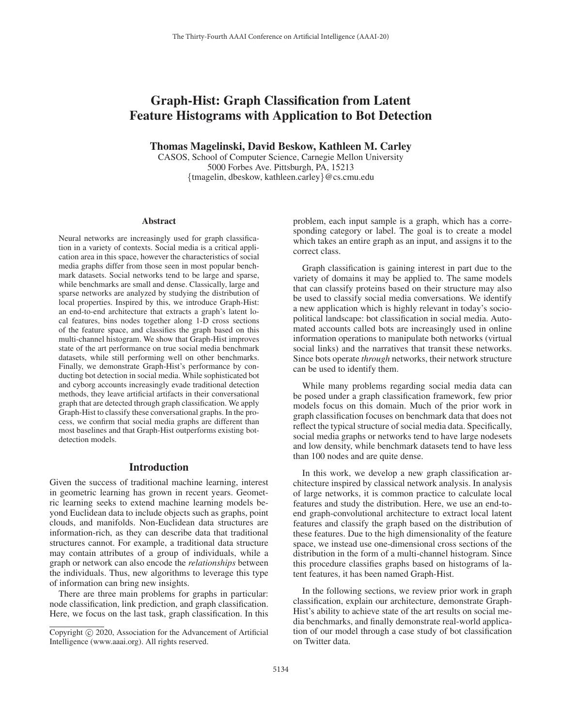# Graph-Hist: Graph Classification from Latent Feature Histograms with Application to Bot Detection

Thomas Magelinski, David Beskow, Kathleen M. Carley

CASOS, School of Computer Science, Carnegie Mellon University 5000 Forbes Ave. Pittsburgh, PA, 15213 {tmagelin, dbeskow, kathleen.carley}@cs.cmu.edu

#### Abstract

Neural networks are increasingly used for graph classification in a variety of contexts. Social media is a critical application area in this space, however the characteristics of social media graphs differ from those seen in most popular benchmark datasets. Social networks tend to be large and sparse, while benchmarks are small and dense. Classically, large and sparse networks are analyzed by studying the distribution of local properties. Inspired by this, we introduce Graph-Hist: an end-to-end architecture that extracts a graph's latent local features, bins nodes together along 1-D cross sections of the feature space, and classifies the graph based on this multi-channel histogram. We show that Graph-Hist improves state of the art performance on true social media benchmark datasets, while still performing well on other benchmarks. Finally, we demonstrate Graph-Hist's performance by conducting bot detection in social media. While sophisticated bot and cyborg accounts increasingly evade traditional detection methods, they leave artificial artifacts in their conversational graph that are detected through graph classification. We apply Graph-Hist to classify these conversational graphs. In the process, we confirm that social media graphs are different than most baselines and that Graph-Hist outperforms existing botdetection models.

#### Introduction

Given the success of traditional machine learning, interest in geometric learning has grown in recent years. Geometric learning seeks to extend machine learning models beyond Euclidean data to include objects such as graphs, point clouds, and manifolds. Non-Euclidean data structures are information-rich, as they can describe data that traditional structures cannot. For example, a traditional data structure may contain attributes of a group of individuals, while a graph or network can also encode the *relationships* between the individuals. Thus, new algorithms to leverage this type of information can bring new insights.

There are three main problems for graphs in particular: node classification, link prediction, and graph classification. Here, we focus on the last task, graph classification. In this problem, each input sample is a graph, which has a corresponding category or label. The goal is to create a model which takes an entire graph as an input, and assigns it to the correct class.

Graph classification is gaining interest in part due to the variety of domains it may be applied to. The same models that can classify proteins based on their structure may also be used to classify social media conversations. We identify a new application which is highly relevant in today's sociopolitical landscape: bot classification in social media. Automated accounts called bots are increasingly used in online information operations to manipulate both networks (virtual social links) and the narratives that transit these networks. Since bots operate *through* networks, their network structure can be used to identify them.

While many problems regarding social media data can be posed under a graph classification framework, few prior models focus on this domain. Much of the prior work in graph classification focuses on benchmark data that does not reflect the typical structure of social media data. Specifically, social media graphs or networks tend to have large nodesets and low density, while benchmark datasets tend to have less than 100 nodes and are quite dense.

In this work, we develop a new graph classification architecture inspired by classical network analysis. In analysis of large networks, it is common practice to calculate local features and study the distribution. Here, we use an end-toend graph-convolutional architecture to extract local latent features and classify the graph based on the distribution of these features. Due to the high dimensionality of the feature space, we instead use one-dimensional cross sections of the distribution in the form of a multi-channel histogram. Since this procedure classifies graphs based on histograms of latent features, it has been named Graph-Hist.

In the following sections, we review prior work in graph classification, explain our architecture, demonstrate Graph-Hist's ability to achieve state of the art results on social media benchmarks, and finally demonstrate real-world application of our model through a case study of bot classification on Twitter data.

Copyright  $\odot$  2020, Association for the Advancement of Artificial Intelligence (www.aaai.org). All rights reserved.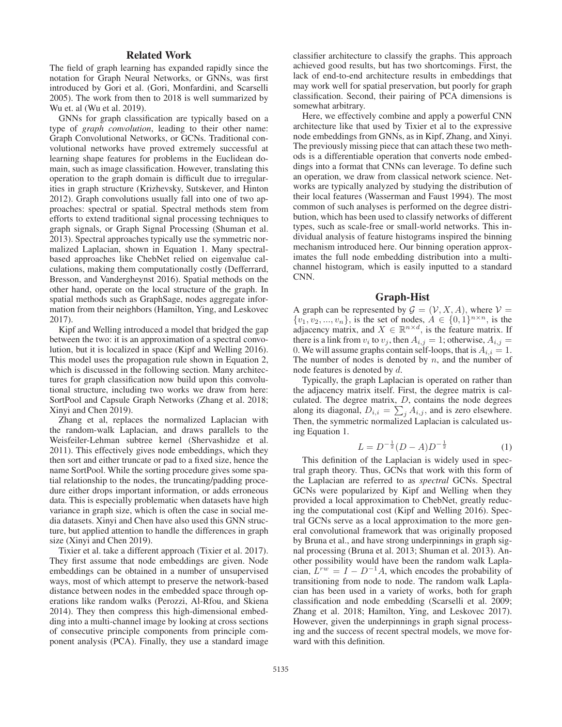# Related Work

The field of graph learning has expanded rapidly since the notation for Graph Neural Networks, or GNNs, was first introduced by Gori et al. (Gori, Monfardini, and Scarselli 2005). The work from then to 2018 is well summarized by Wu et. al (Wu et al. 2019).

GNNs for graph classification are typically based on a type of *graph convolution*, leading to their other name: Graph Convolutional Networks, or GCNs. Traditional convolutional networks have proved extremely successful at learning shape features for problems in the Euclidean domain, such as image classification. However, translating this operation to the graph domain is difficult due to irregularities in graph structure (Krizhevsky, Sutskever, and Hinton 2012). Graph convolutions usually fall into one of two approaches: spectral or spatial. Spectral methods stem from efforts to extend traditional signal processing techniques to graph signals, or Graph Signal Processing (Shuman et al. 2013). Spectral approaches typically use the symmetric normalized Laplacian, shown in Equation 1. Many spectralbased approaches like ChebNet relied on eigenvalue calculations, making them computationally costly (Defferrard, Bresson, and Vandergheynst 2016). Spatial methods on the other hand, operate on the local structure of the graph. In spatial methods such as GraphSage, nodes aggregate information from their neighbors (Hamilton, Ying, and Leskovec 2017).

Kipf and Welling introduced a model that bridged the gap between the two: it is an approximation of a spectral convolution, but it is localized in space (Kipf and Welling 2016). This model uses the propagation rule shown in Equation 2, which is discussed in the following section. Many architectures for graph classification now build upon this convolutional structure, including two works we draw from here: SortPool and Capsule Graph Networks (Zhang et al. 2018; Xinyi and Chen 2019).

Zhang et al, replaces the normalized Laplacian with the random-walk Laplacian, and draws parallels to the Weisfeiler-Lehman subtree kernel (Shervashidze et al. 2011). This effectively gives node embeddings, which they then sort and either truncate or pad to a fixed size, hence the name SortPool. While the sorting procedure gives some spatial relationship to the nodes, the truncating/padding procedure either drops important information, or adds erroneous data. This is especially problematic when datasets have high variance in graph size, which is often the case in social media datasets. Xinyi and Chen have also used this GNN structure, but applied attention to handle the differences in graph size (Xinyi and Chen 2019).

Tixier et al. take a different approach (Tixier et al. 2017). They first assume that node embeddings are given. Node embeddings can be obtained in a number of unsupervised ways, most of which attempt to preserve the network-based distance between nodes in the embedded space through operations like random walks (Perozzi, Al-Rfou, and Skiena 2014). They then compress this high-dimensional embedding into a multi-channel image by looking at cross sections of consecutive principle components from principle component analysis (PCA). Finally, they use a standard image

classifier architecture to classify the graphs. This approach achieved good results, but has two shortcomings. First, the lack of end-to-end architecture results in embeddings that may work well for spatial preservation, but poorly for graph classification. Second, their pairing of PCA dimensions is somewhat arbitrary.

Here, we effectively combine and apply a powerful CNN architecture like that used by Tixier et al to the expressive node embeddings from GNNs, as in Kipf, Zhang, and Xinyi. The previously missing piece that can attach these two methods is a differentiable operation that converts node embeddings into a format that CNNs can leverage. To define such an operation, we draw from classical network science. Networks are typically analyzed by studying the distribution of their local features (Wasserman and Faust 1994). The most common of such analyses is performed on the degree distribution, which has been used to classify networks of different types, such as scale-free or small-world networks. This individual analysis of feature histograms inspired the binning mechanism introduced here. Our binning operation approximates the full node embedding distribution into a multichannel histogram, which is easily inputted to a standard CNN.

## Graph-Hist

A graph can be represented by  $\mathcal{G} = (\mathcal{V}, X, A)$ , where  $\mathcal{V} =$  $\{v_1, v_2, ..., v_n\}$ , is the set of nodes,  $A \in \{0, 1\}^{n \times n}$ , is the adjacency matrix, and  $X \in \mathbb{R}^{n \times d}$ , is the feature matrix. If there is a link from  $v_i$  to  $v_j$ , then  $A_{i,j} = 1$ ; otherwise,  $A_{i,j} =$ 0. We will assume graphs contain self-loops, that is  $A_{i,i} = 1$ . The number of nodes is denoted by  $n$ , and the number of node features is denoted by d.

Typically, the graph Laplacian is operated on rather than the adjacency matrix itself. First, the degree matrix is calculated. The degree matrix,  $D$ , contains the node degrees along its diagonal,  $D_{i,i} = \sum_j A_{i,j}$ , and is zero elsewhere.<br>Then, the symmetric pormalized I appacian is calculated us-Then, the symmetric normalized Laplacian is calculated using Equation 1.

$$
L = D^{-\frac{1}{2}}(D - A)D^{-\frac{1}{2}} \tag{1}
$$

 $L = D^{-\frac{1}{2}}(D - A)D^{-\frac{1}{2}}$  (1)<br>This definition of the Laplacian is widely used in spectral graph theory. Thus, GCNs that work with this form of the Laplacian are referred to as *spectral* GCNs. Spectral GCNs were popularized by Kipf and Welling when they provided a local approximation to ChebNet, greatly reducing the computational cost (Kipf and Welling 2016). Spectral GCNs serve as a local approximation to the more general convolutional framework that was originally proposed by Bruna et al., and have strong underpinnings in graph signal processing (Bruna et al. 2013; Shuman et al. 2013). Another possibility would have been the random walk Laplacian,  $\hat{L}^{rw} = I - D^{-1}A$ , which encodes the probability of transitioning from node to node. The random walk Laplacian has been used in a variety of works, both for graph classification and node embedding (Scarselli et al. 2009; Zhang et al. 2018; Hamilton, Ying, and Leskovec 2017). However, given the underpinnings in graph signal processing and the success of recent spectral models, we move forward with this definition.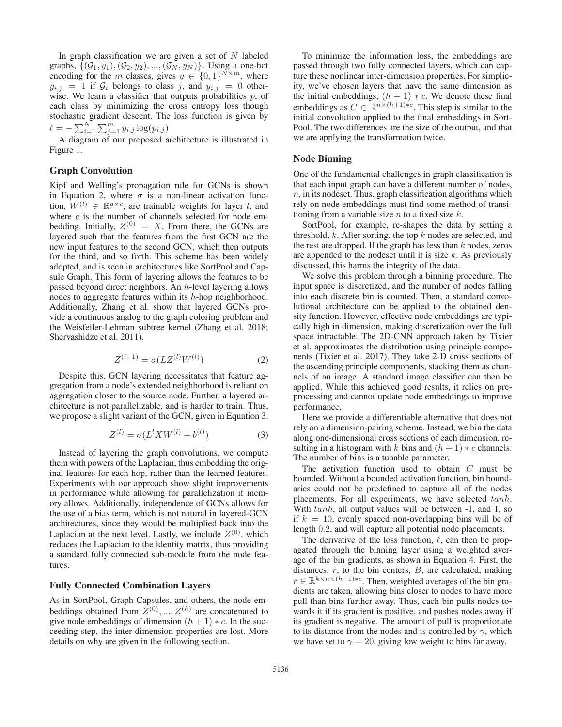In graph classification we are given a set of  $N$  labeled graphs,  $\{(\mathcal{G}_1, y_1),(\mathcal{G}_2, y_2), ...,(\mathcal{G}_N, y_N)\}$ . Using a one-hot encoding for the m classes, gives  $y \in \{0,1\}^{N \times m}$ , where<br> $y_{k,i} = 1$  if G<sub>i</sub> belongs to class j and  $y_{k,i} = 0$  other $y_{i,j} = 1$  if  $\mathcal{G}_i$  belongs to class j, and  $y_{i,j} = 0$  other-<br>wise. We learn a classifier that outputs probabilities n of wise. We learn a classifier that outputs probabilities  $p$ , of each class by minimizing the cross entropy loss though stochastic gradient descent. The loss function is given by  $\ell = -\sum_{i=1}^{N} \sum_{j=1}^{m} y_{i,j} \log(p_{i,j})$ 

A diagram of our proposed architecture is illustrated in Figure 1.

#### Graph Convolution

Kipf and Welling's propagation rule for GCNs is shown in Equation 2, where  $\sigma$  is a non-linear activation function,  $W^{(l)} \in \mathbb{R}^{d \times c}$ , are trainable weights for layer l, and where  $c$  is the number of channels selected for node embedding. Initially,  $Z^{(0)} = X$ . From there, the GCNs are layered such that the features from the first GCN are the new input features to the second GCN, which then outputs for the third, and so forth. This scheme has been widely adopted, and is seen in architectures like SortPool and Capsule Graph. This form of layering allows the features to be passed beyond direct neighbors. An h-level layering allows nodes to aggregate features within its h-hop neighborhood. Additionally, Zhang et al. show that layered GCNs provide a continuous analog to the graph coloring problem and the Weisfeiler-Lehman subtree kernel (Zhang et al. 2018; Shervashidze et al. 2011).

$$
Z^{(l+1)} = \sigma(LZ^{(l)}W^{(l)})
$$
 (2)

Despite this, GCN layering necessitates that feature aggregation from a node's extended neighborhood is reliant on aggregation closer to the source node. Further, a layered architecture is not parallelizable, and is harder to train. Thus, we propose a slight variant of the GCN, given in Equation 3.

$$
Z^{(l)} = \sigma(L^l X W^{(l)} + b^{(l)})
$$
 (3)

Instead of layering the graph convolutions, we compute them with powers of the Laplacian, thus embedding the original features for each hop, rather than the learned features. Experiments with our approach show slight improvements in performance while allowing for parallelization if memory allows. Additionally, independence of GCNs allows for the use of a bias term, which is not natural in layered-GCN architectures, since they would be multiplied back into the Laplacian at the next level. Lastly, we include  $Z^{(0)}$ , which reduces the Laplacian to the identity matrix, thus providing a standard fully connected sub-module from the node features.

#### Fully Connected Combination Layers

As in SortPool, Graph Capsules, and others, the node embeddings obtained from  $Z^{(0)},..., Z^{(h)}$  are concatenated to give node embeddings of dimension  $(h + 1) * c$ . In the succeeding step, the inter-dimension properties are lost. More details on why are given in the following section.

To minimize the information loss, the embeddings are passed through two fully connected layers, which can capture these nonlinear inter-dimension properties. For simplicity, we've chosen layers that have the same dimension as the initial embeddings,  $(h + 1) * c$ . We denote these final embeddings as  $C \in \mathbb{R}^{n \times (h+1)*c}$ . This step is similar to the initial convolution applied to the final embeddings in Sort-Pool. The two differences are the size of the output, and that we are applying the transformation twice.

## Node Binning

One of the fundamental challenges in graph classification is that each input graph can have a different number of nodes,  $n$ , in its nodeset. Thus, graph classification algorithms which rely on node embeddings must find some method of transitioning from a variable size n to a fixed size  $k$ .

SortPool, for example, re-shapes the data by setting a threshold,  $k$ . After sorting, the top  $k$  nodes are selected, and the rest are dropped. If the graph has less than  $k$  nodes, zeros are appended to the nodeset until it is size  $k$ . As previously discussed, this harms the integrity of the data.

We solve this problem through a binning procedure. The input space is discretized, and the number of nodes falling into each discrete bin is counted. Then, a standard convolutional architecture can be applied to the obtained density function. However, effective node embeddings are typically high in dimension, making discretization over the full space intractable. The 2D-CNN approach taken by Tixier et al. approximates the distribution using principle components (Tixier et al. 2017). They take 2-D cross sections of the ascending principle components, stacking them as channels of an image. A standard image classifier can then be applied. While this achieved good results, it relies on preprocessing and cannot update node embeddings to improve performance.

Here we provide a differentiable alternative that does not rely on a dimension-pairing scheme. Instead, we bin the data along one-dimensional cross sections of each dimension, resulting in a histogram with k bins and  $(h + 1) * c$  channels. The number of bins is a tunable parameter.

The activation function used to obtain C must be bounded. Without a bounded activation function, bin boundaries could not be predefined to capture all of the nodes placements. For all experiments, we have selected tanh. With  $tanh$ , all output values will be between  $-1$ , and 1, so if  $k = 10$ , evenly spaced non-overlapping bins will be of length 0.2, and will capture all potential node placements.

The derivative of the loss function,  $\ell$ , can then be propagated through the binning layer using a weighted average of the bin gradients, as shown in Equation 4. First, the distances,  $r$ , to the bin centers,  $B$ , are calculated, making  $r \in \mathbb{R}^{k \times n \times (h+1)*c}$ . Then, weighted averages of the bin gradients are taken, allowing bins closer to nodes to have more pull than bins further away. Thus, each bin pulls nodes towards it if its gradient is positive, and pushes nodes away if its gradient is negative. The amount of pull is proportionate to its distance from the nodes and is controlled by  $\gamma$ , which we have set to  $\gamma = 20$ , giving low weight to bins far away.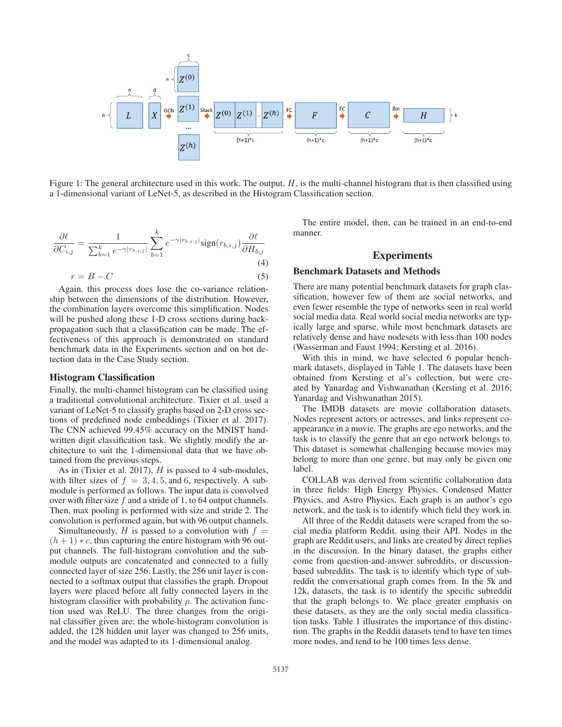

Figure 1: The general architecture used in this work. The output,  $H$ , is the multi-channel histogram that is then classified using a 1-dimensional variant of LeNet-5, as described in the Histogram Classification section.

$$
\frac{\partial \ell}{\partial C_{i,j}} = \frac{1}{\sum_{b=1}^{k} e^{-\gamma |r_{b,i,j}|}} \sum_{b=1}^{k} e^{-\gamma |r_{b,i,j}|} \text{sign}(r_{b,i,j}) \frac{\partial \ell}{\partial H_{b,j}}
$$
\n(4)\n  
\n
$$
r = B - C
$$
\n(5)\nAgain, this process does lose the co-variance relation-

ship between the dimensions of the distribution. However, the combination layers overcome this simplification. Nodes will be pushed along these 1-D cross sections during backpropagation such that a classification can be made. The effectiveness of this approach is demonstrated on standard benchmark data in the Experiments section and on bot detection data in the Case Study section.

#### Histogram Classification

Finally, the multi-channel histogram can be classified using a traditional convolutional architecture. Tixier et al. used a variant of LeNet-5 to classify graphs based on 2-D cross sections of predefined node embeddings (Tixier et al. 2017). The CNN achieved 99.45% accuracy on the MNIST handwritten digit classification task. We slightly modify the architecture to suit the 1-dimensional data that we have obtained from the previous steps.

As in (Tixier et al. 2017), *H* is passed to 4 sub-modules, with filter sizes of  $f = 3, 4, 5,$  and 6, respectively. A submodule is performed as follows. The input data is convolved over with filter size  $f$  and a stride of 1, to 64 output channels. Then, max pooling is performed with size and stride 2. The convolution is performed again, but with 96 output channels.

Simultaneously, H is passed to a convolution with  $f =$  $(h + 1) * c$ , thus capturing the entire histogram with 96 output channels. The full-histogram convolution and the submodule outputs are concatenated and connected to a fully connected layer of size 256. Lastly, the 256 unit layer is connected to a softmax output that classifies the graph. Dropout layers were placed before all fully connected layers in the histogram classifier with probability  $\rho$ . The activation function used was ReLU. The three changes from the original classifier given are: the whole-histogram convolution is added, the 128 hidden unit layer was changed to 256 units, and the model was adapted to its 1-dimensional analog.

The entire model, then, can be trained in an end-to-end manner.

# **Experiments**

## Benchmark Datasets and Methods

There are many potential benchmark datasets for graph classification, however few of them are social networks, and even fewer resemble the type of networks seen in real world social media data. Real world social media networks are typically large and sparse, while most benchmark datasets are relatively dense and have nodesets with less than 100 nodes (Wasserman and Faust 1994; Kersting et al. 2016).

With this in mind, we have selected 6 popular benchmark datasets, displayed in Table 1. The datasets have been obtained from Kersting et al's collection, but were created by Yanardag and Vishwanathan (Kersting et al. 2016; Yanardag and Vishwanathan 2015).

The IMDB datasets are movie collaboration datasets. Nodes represent actors or actresses, and links represent coappearance in a movie. The graphs are ego networks, and the task is to classify the genre that an ego network belongs to. This dataset is somewhat challenging because movies may belong to more than one genre, but may only be given one label.

COLLAB was derived from scientific collaboration data in three fields: High Energy Physics, Condensed Matter Physics, and Astro Physics. Each graph is an author's ego network, and the task is to identify which field they work in.

All three of the Reddit datasets were scraped from the social media platform Reddit, using their API. Nodes in the graph are Reddit users, and links are created by direct replies in the discussion. In the binary dataset, the graphs either come from question-and-answer subreddits, or discussionbased subreddits. The task is to identify which type of subreddit the conversational graph comes from. In the 5k and 12k, datasets, the task is to identify the specific subreddit that the graph belongs to. We place greater emphasis on these datasets, as they are the only social media classification tasks. Table 1 illustrates the importance of this distinction. The graphs in the Reddit datasets tend to have ten times more nodes, and tend to be 100 times less dense.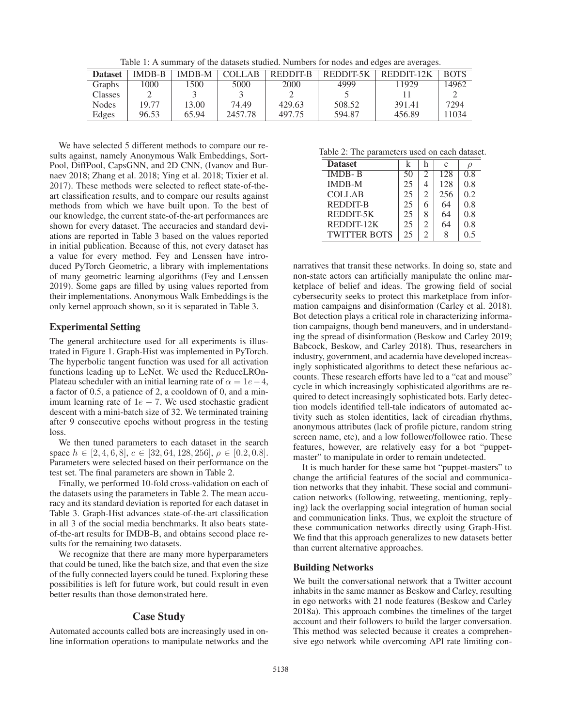Table 1: A summary of the datasets studied. Numbers for nodes and edges are averages.

| <b>Dataset</b> | <b>IMDB-B</b> | <b>IMDB-M</b> | <b>COLLAB</b> | REDDIT-B | REDDIT-5K | REDDIT-12K | <b>BOTS</b> |
|----------------|---------------|---------------|---------------|----------|-----------|------------|-------------|
| <b>Graphs</b>  | 000           | 1500          | 5000          | 2000     | 4999      | 11929      | 14962       |
| <b>Classes</b> |               |               |               |          |           |            |             |
| <b>Nodes</b>   | 19 77         | 13.00         | 74.49         | 429.63   | 508.52    | 391.41     | 7294        |
| Edges          | 96.53         | 65.94         | 2457.78       | 497.75   | 594.87    | 456.89     | 1034        |

We have selected 5 different methods to compare our results against, namely Anonymous Walk Embeddings, Sort-Pool, DiffPool, CapsGNN, and 2D CNN, (Ivanov and Burnaev 2018; Zhang et al. 2018; Ying et al. 2018; Tixier et al. 2017). These methods were selected to reflect state-of-theart classification results, and to compare our results against methods from which we have built upon. To the best of our knowledge, the current state-of-the-art performances are shown for every dataset. The accuracies and standard deviations are reported in Table 3 based on the values reported in initial publication. Because of this, not every dataset has a value for every method. Fey and Lenssen have introduced PyTorch Geometric, a library with implementations of many geometric learning algorithms (Fey and Lenssen 2019). Some gaps are filled by using values reported from their implementations. Anonymous Walk Embeddings is the only kernel approach shown, so it is separated in Table 3.

## Experimental Setting

The general architecture used for all experiments is illustrated in Figure 1. Graph-Hist was implemented in PyTorch. The hyperbolic tangent function was used for all activation functions leading up to LeNet. We used the ReduceLROn-Plateau scheduler with an initial learning rate of  $\alpha = 1e-4$ , a factor of 0.5, a patience of 2, a cooldown of 0, and a minimum learning rate of  $1e - 7$ . We used stochastic gradient descent with a mini-batch size of 32. We terminated training after 9 consecutive epochs without progress in the testing loss.

We then tuned parameters to each dataset in the search space  $h \in [2, 4, 6, 8], c \in [32, 64, 128, 256], \rho \in [0.2, 0.8].$ Parameters were selected based on their performance on the test set. The final parameters are shown in Table 2.

Finally, we performed 10-fold cross-validation on each of the datasets using the parameters in Table 2. The mean accuracy and its standard deviation is reported for each dataset in Table 3. Graph-Hist advances state-of-the-art classification in all 3 of the social media benchmarks. It also beats stateof-the-art results for IMDB-B, and obtains second place results for the remaining two datasets.

We recognize that there are many more hyperparameters that could be tuned, like the batch size, and that even the size of the fully connected layers could be tuned. Exploring these possibilities is left for future work, but could result in even better results than those demonstrated here.

#### Case Study

Automated accounts called bots are increasingly used in online information operations to manipulate networks and the

Table 2: The parameters used on each dataset.

| <b>Dataset</b>      | k  |                             | $\mathcal{C}$ |     |
|---------------------|----|-----------------------------|---------------|-----|
| <b>IMDB-B</b>       | 50 | $\mathcal{D}_{\mathcal{L}}$ | 128           | 0.8 |
| <b>IMDB-M</b>       | 25 | 4                           | 128           | 0.8 |
| <b>COLLAB</b>       | 25 | $\mathcal{D}_{\mathcal{L}}$ | 256           | 0.2 |
| <b>REDDIT-B</b>     | 25 | 6                           | 64            | 0.8 |
| REDDIT-5K           | 25 | 8                           | 64            | 0.8 |
| REDDIT-12K          | 25 | $\mathfrak{D}$              | 64            | 0.8 |
| <b>TWITTER BOTS</b> | 25 | $\mathcal{D}$               | Ջ             | 0.5 |

narratives that transit these networks. In doing so, state and non-state actors can artificially manipulate the online marketplace of belief and ideas. The growing field of social cybersecurity seeks to protect this marketplace from information campaigns and disinformation (Carley et al. 2018). Bot detection plays a critical role in characterizing information campaigns, though bend maneuvers, and in understanding the spread of disinformation (Beskow and Carley 2019; Babcock, Beskow, and Carley 2018). Thus, researchers in industry, government, and academia have developed increasingly sophisticated algorithms to detect these nefarious accounts. These research efforts have led to a "cat and mouse" cycle in which increasingly sophisticated algorithms are required to detect increasingly sophisticated bots. Early detection models identified tell-tale indicators of automated activity such as stolen identities, lack of circadian rhythms, anonymous attributes (lack of profile picture, random string screen name, etc), and a low follower/followee ratio. These features, however, are relatively easy for a bot "puppetmaster" to manipulate in order to remain undetected.

It is much harder for these same bot "puppet-masters" to change the artificial features of the social and communication networks that they inhabit. These social and communication networks (following, retweeting, mentioning, replying) lack the overlapping social integration of human social and communication links. Thus, we exploit the structure of these communication networks directly using Graph-Hist. We find that this approach generalizes to new datasets better than current alternative approaches.

## Building Networks

We built the conversational network that a Twitter account inhabits in the same manner as Beskow and Carley, resulting in ego networks with 21 node features (Beskow and Carley 2018a). This approach combines the timelines of the target account and their followers to build the larger conversation. This method was selected because it creates a comprehensive ego network while overcoming API rate limiting con-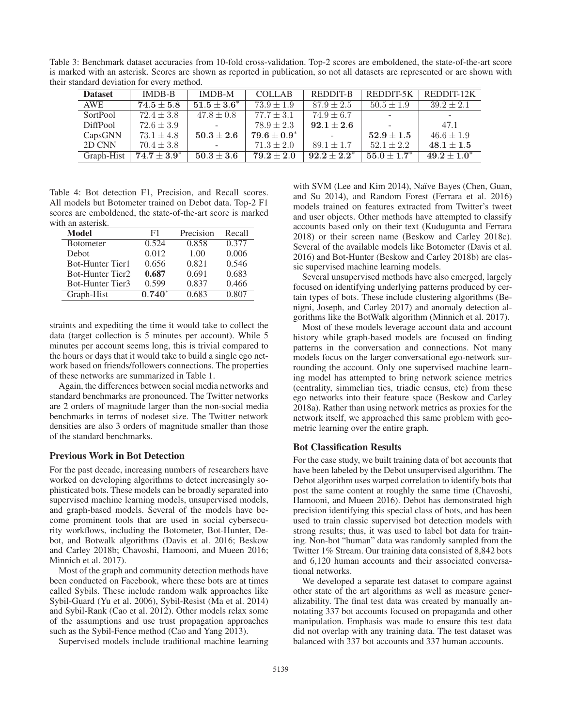Table 3: Benchmark dataset accuracies from 10-fold cross-validation. Top-2 scores are emboldened, the state-of-the-art score is marked with an asterisk. Scores are shown as reported in publication, so not all datasets are represented or are shown with their standard deviation for every method.

| <b>Dataset</b>  | <b>IMDB-B</b>    | <b>IMDB-M</b>  | <b>COLLAB</b>    | REDDIT-B       | REDDIT-5K        | REDDIT-12K     |
|-----------------|------------------|----------------|------------------|----------------|------------------|----------------|
| AWE             | $74.5 \pm 5.8$   | $51.5 + 3.6^*$ | $73.9 \pm 1.9$   | $87.9 \pm 2.5$ | $50.5 \pm 1.9$   | $39.2 \pm 2.1$ |
| SortPool        | $72.4 \pm 3.8$   | $47.8 \pm 0.8$ | $77.7 \pm 3.1$   | $74.9 \pm 6.7$ |                  |                |
| <b>DiffPool</b> | $72.6 \pm 3.9$   |                | $78.9 \pm 2.3$   | $92.1 \pm 2.6$ |                  | 47.1           |
| CapsGNN         | $73.1 \pm 4.8$   | $50.3 \pm 2.6$ | $79.6 \pm 0.9^*$ | $\sim$         | $52.9 \pm 1.5$   | $46.6 \pm 1.9$ |
| 2D CNN          | $70.4 \pm 3.8$   |                | $71.3 \pm 2.0$   | $89.1 \pm 1.7$ | $52.1 \pm 2.2$   | $48.1 \pm 1.5$ |
| Graph-Hist      | $74.7 \pm 3.9^*$ | $50.3 \pm 3.6$ | $79.2 \pm 2.0$   | $92.2 + 2.2^*$ | $55.0 \pm 1.7^*$ | $49.2 + 1.0^*$ |

Table 4: Bot detection F1, Precision, and Recall scores. All models but Botometer trained on Debot data. Top-2 F1 scores are emboldened, the state-of-the-art score is marked with an asterisk.

| <b>Model</b>            | F1       | Precision | Recall |
|-------------------------|----------|-----------|--------|
| <b>Botometer</b>        | 0.524    | 0.858     | 0.377  |
| Debot                   | 0.012    | 1.00      | 0.006  |
| <b>Bot-Hunter Tier1</b> | 0.656    | 0.821     | 0.546  |
| <b>Bot-Hunter Tier2</b> | 0.687    | 0.691     | 0.683  |
| Bot-Hunter Tier3        | 0.599    | 0.837     | 0.466  |
| Graph-Hist              | $0.740*$ | 0.683     | 0.807  |

straints and expediting the time it would take to collect the data (target collection is 5 minutes per account). While 5 minutes per account seems long, this is trivial compared to the hours or days that it would take to build a single ego network based on friends/followers connections. The properties of these networks are summarized in Table 1.

Again, the differences between social media networks and standard benchmarks are pronounced. The Twitter networks are 2 orders of magnitude larger than the non-social media benchmarks in terms of nodeset size. The Twitter network densities are also 3 orders of magnitude smaller than those of the standard benchmarks.

## Previous Work in Bot Detection

For the past decade, increasing numbers of researchers have worked on developing algorithms to detect increasingly sophisticated bots. These models can be broadly separated into supervised machine learning models, unsupervised models, and graph-based models. Several of the models have become prominent tools that are used in social cybersecurity workflows, including the Botometer, Bot-Hunter, Debot, and Botwalk algorithms (Davis et al. 2016; Beskow and Carley 2018b; Chavoshi, Hamooni, and Mueen 2016; Minnich et al. 2017).

Most of the graph and community detection methods have been conducted on Facebook, where these bots are at times called Sybils. These include random walk approaches like Sybil-Guard (Yu et al. 2006), Sybil-Resist (Ma et al. 2014) and Sybil-Rank (Cao et al. 2012). Other models relax some of the assumptions and use trust propagation approaches such as the Sybil-Fence method (Cao and Yang 2013).

Supervised models include traditional machine learning

with SVM (Lee and Kim 2014), Naïve Bayes (Chen, Guan, and Su 2014), and Random Forest (Ferrara et al. 2016) models trained on features extracted from Twitter's tweet and user objects. Other methods have attempted to classify accounts based only on their text (Kudugunta and Ferrara 2018) or their screen name (Beskow and Carley 2018c). Several of the available models like Botometer (Davis et al. 2016) and Bot-Hunter (Beskow and Carley 2018b) are classic supervised machine learning models.

Several unsupervised methods have also emerged, largely focused on identifying underlying patterns produced by certain types of bots. These include clustering algorithms (Benigni, Joseph, and Carley 2017) and anomaly detection algorithms like the BotWalk algorithm (Minnich et al. 2017).

Most of these models leverage account data and account history while graph-based models are focused on finding patterns in the conversation and connections. Not many models focus on the larger conversational ego-network surrounding the account. Only one supervised machine learning model has attempted to bring network science metrics (centrality, simmelian ties, triadic census, etc) from these ego networks into their feature space (Beskow and Carley 2018a). Rather than using network metrics as proxies for the network itself, we approached this same problem with geometric learning over the entire graph.

## Bot Classification Results

For the case study, we built training data of bot accounts that have been labeled by the Debot unsupervised algorithm. The Debot algorithm uses warped correlation to identify bots that post the same content at roughly the same time (Chavoshi, Hamooni, and Mueen 2016). Debot has demonstrated high precision identifying this special class of bots, and has been used to train classic supervised bot detection models with strong results; thus, it was used to label bot data for training. Non-bot "human" data was randomly sampled from the Twitter 1% Stream. Our training data consisted of 8,842 bots and 6,120 human accounts and their associated conversational networks.

We developed a separate test dataset to compare against other state of the art algorithms as well as measure generalizability. The final test data was created by manually annotating 337 bot accounts focused on propaganda and other manipulation. Emphasis was made to ensure this test data did not overlap with any training data. The test dataset was balanced with 337 bot accounts and 337 human accounts.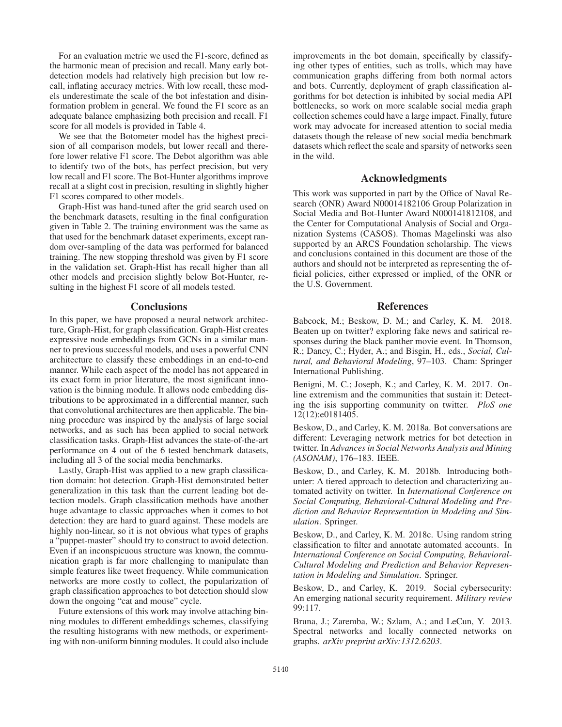For an evaluation metric we used the F1-score, defined as the harmonic mean of precision and recall. Many early botdetection models had relatively high precision but low recall, inflating accuracy metrics. With low recall, these models underestimate the scale of the bot infestation and disinformation problem in general. We found the F1 score as an adequate balance emphasizing both precision and recall. F1 score for all models is provided in Table 4.

We see that the Botometer model has the highest precision of all comparison models, but lower recall and therefore lower relative F1 score. The Debot algorithm was able to identify two of the bots, has perfect precision, but very low recall and F1 score. The Bot-Hunter algorithms improve recall at a slight cost in precision, resulting in slightly higher F1 scores compared to other models.

Graph-Hist was hand-tuned after the grid search used on the benchmark datasets, resulting in the final configuration given in Table 2. The training environment was the same as that used for the benchmark dataset experiments, except random over-sampling of the data was performed for balanced training. The new stopping threshold was given by F1 score in the validation set. Graph-Hist has recall higher than all other models and precision slightly below Bot-Hunter, resulting in the highest F1 score of all models tested.

## **Conclusions**

In this paper, we have proposed a neural network architecture, Graph-Hist, for graph classification. Graph-Hist creates expressive node embeddings from GCNs in a similar manner to previous successful models, and uses a powerful CNN architecture to classify these embeddings in an end-to-end manner. While each aspect of the model has not appeared in its exact form in prior literature, the most significant innovation is the binning module. It allows node embedding distributions to be approximated in a differential manner, such that convolutional architectures are then applicable. The binning procedure was inspired by the analysis of large social networks, and as such has been applied to social network classification tasks. Graph-Hist advances the state-of-the-art performance on 4 out of the 6 tested benchmark datasets, including all 3 of the social media benchmarks.

Lastly, Graph-Hist was applied to a new graph classification domain: bot detection. Graph-Hist demonstrated better generalization in this task than the current leading bot detection models. Graph classification methods have another huge advantage to classic approaches when it comes to bot detection: they are hard to guard against. These models are highly non-linear, so it is not obvious what types of graphs a "puppet-master" should try to construct to avoid detection. Even if an inconspicuous structure was known, the communication graph is far more challenging to manipulate than simple features like tweet frequency. While communication networks are more costly to collect, the popularization of graph classification approaches to bot detection should slow down the ongoing "cat and mouse" cycle.

Future extensions of this work may involve attaching binning modules to different embeddings schemes, classifying the resulting histograms with new methods, or experimenting with non-uniform binning modules. It could also include

improvements in the bot domain, specifically by classifying other types of entities, such as trolls, which may have communication graphs differing from both normal actors and bots. Currently, deployment of graph classification algorithms for bot detection is inhibited by social media API bottlenecks, so work on more scalable social media graph collection schemes could have a large impact. Finally, future work may advocate for increased attention to social media datasets though the release of new social media benchmark datasets which reflect the scale and sparsity of networks seen in the wild.

## Acknowledgments

This work was supported in part by the Office of Naval Research (ONR) Award N00014182106 Group Polarization in Social Media and Bot-Hunter Award N000141812108, and the Center for Computational Analysis of Social and Organization Systems (CASOS). Thomas Magelinski was also supported by an ARCS Foundation scholarship. The views and conclusions contained in this document are those of the authors and should not be interpreted as representing the official policies, either expressed or implied, of the ONR or the U.S. Government.

#### References

Babcock, M.; Beskow, D. M.; and Carley, K. M. 2018. Beaten up on twitter? exploring fake news and satirical responses during the black panther movie event. In Thomson, R.; Dancy, C.; Hyder, A.; and Bisgin, H., eds., *Social, Cultural, and Behavioral Modeling*, 97–103. Cham: Springer International Publishing.

Benigni, M. C.; Joseph, K.; and Carley, K. M. 2017. Online extremism and the communities that sustain it: Detecting the isis supporting community on twitter. *PloS one* 12(12):e0181405.

Beskow, D., and Carley, K. M. 2018a. Bot conversations are different: Leveraging network metrics for bot detection in twitter. In *Advances in Social Networks Analysis and Mining (ASONAM)*, 176–183. IEEE.

Beskow, D., and Carley, K. M. 2018b. Introducing bothunter: A tiered approach to detection and characterizing automated activity on twitter. In *International Conference on Social Computing, Behavioral-Cultural Modeling and Prediction and Behavior Representation in Modeling and Simulation*. Springer.

Beskow, D., and Carley, K. M. 2018c. Using random string classification to filter and annotate automated accounts. In *International Conference on Social Computing, Behavioral-Cultural Modeling and Prediction and Behavior Representation in Modeling and Simulation*. Springer.

Beskow, D., and Carley, K. 2019. Social cybersecurity: An emerging national security requirement. *Military review* 99:117.

Bruna, J.; Zaremba, W.; Szlam, A.; and LeCun, Y. 2013. Spectral networks and locally connected networks on graphs. *arXiv preprint arXiv:1312.6203*.